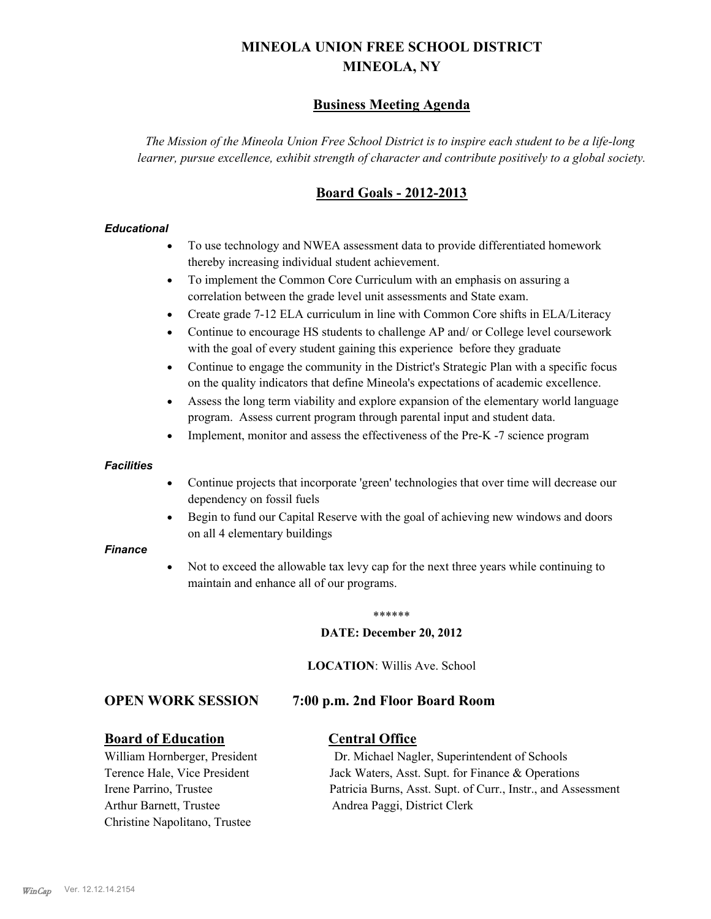# **MINEOLA UNION FREE SCHOOL DISTRICT MINEOLA, NY**

# **Business Meeting Agenda**

*The Mission of the Mineola Union Free School District is to inspire each student to be a life-long learner, pursue excellence, exhibit strength of character and contribute positively to a global society.*

# **Board Goals - 2012-2013**

#### *Educational*

- · To use technology and NWEA assessment data to provide differentiated homework thereby increasing individual student achievement.
- · To implement the Common Core Curriculum with an emphasis on assuring a correlation between the grade level unit assessments and State exam.
- Create grade 7-12 ELA curriculum in line with Common Core shifts in ELA/Literacy
- Continue to encourage HS students to challenge AP and/ or College level coursework with the goal of every student gaining this experience before they graduate
- · Continue to engage the community in the District's Strategic Plan with a specific focus on the quality indicators that define Mineola's expectations of academic excellence.
- Assess the long term viability and explore expansion of the elementary world language program. Assess current program through parental input and student data.
- Implement, monitor and assess the effectiveness of the Pre-K -7 science program

#### *Facilities*

- · Continue projects that incorporate 'green' technologies that over time will decrease our dependency on fossil fuels
- Begin to fund our Capital Reserve with the goal of achieving new windows and doors on all 4 elementary buildings

#### *Finance*

Not to exceed the allowable tax levy cap for the next three years while continuing to maintain and enhance all of our programs.

#### \*\*\*\*\*\*

#### **DATE: December 20, 2012**

**LOCATION**: Willis Ave. School

## **OPEN WORK SESSION 7:00 p.m. 2nd Floor Board Room**

#### **Board of Education Central Office**

Arthur Barnett, Trustee Andrea Paggi, District Clerk Christine Napolitano, Trustee

William Hornberger, President Dr. Michael Nagler, Superintendent of Schools Terence Hale, Vice President Jack Waters, Asst. Supt. for Finance & Operations Irene Parrino, Trustee Patricia Burns, Asst. Supt. of Curr., Instr., and Assessment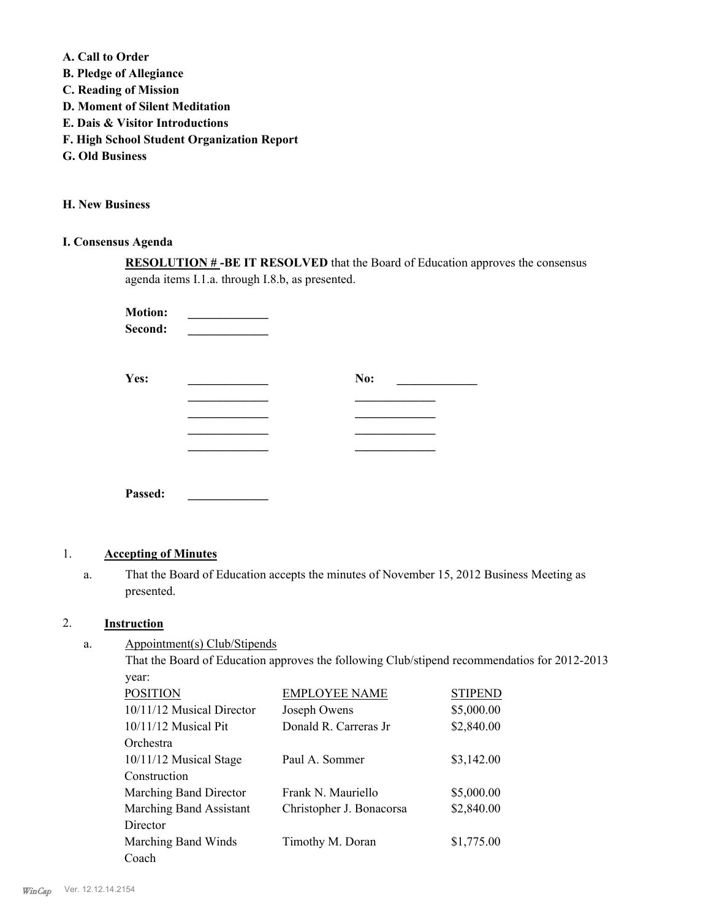**A. Call to Order** 

- **B. Pledge of Allegiance**
- **C. Reading of Mission**
- **D. Moment of Silent Meditation**
- **E. Dais & Visitor Introductions**
- **F. High School Student Organization Report**
- **G. Old Business**

**H. New Business**

# **I. Consensus Agenda**

**RESOLUTION # -BE IT RESOLVED** that the Board of Education approves the consensus agenda items I.1.a. through I.8.b, as presented.

**Motion:**  $\bf Second:$ 

| Yes:    | No: |
|---------|-----|
|         |     |
|         |     |
|         |     |
|         |     |
|         |     |
| Passed: |     |

# 1. **Accepting of Minutes**

That the Board of Education accepts the minutes of November 15, 2012 Business Meeting as presented. a.

## 2. **Instruction**

Appointment(s) Club/Stipends a.

> That the Board of Education approves the following Club/stipend recommendatios for 2012-2013 year:

| <b>POSITION</b>           | <b>EMPLOYEE NAME</b>     | <b>STIPEND</b> |
|---------------------------|--------------------------|----------------|
| 10/11/12 Musical Director | Joseph Owens             | \$5,000.00     |
| $10/11/12$ Musical Pit    | Donald R. Carreras Jr    | \$2,840.00     |
| Orchestra                 |                          |                |
| 10/11/12 Musical Stage    | Paul A. Sommer           | \$3,142.00     |
| Construction              |                          |                |
| Marching Band Director    | Frank N. Mauriello       | \$5,000.00     |
| Marching Band Assistant   | Christopher J. Bonacorsa | \$2,840.00     |
| Director                  |                          |                |
| Marching Band Winds       | Timothy M. Doran         | \$1,775.00     |
| Coach                     |                          |                |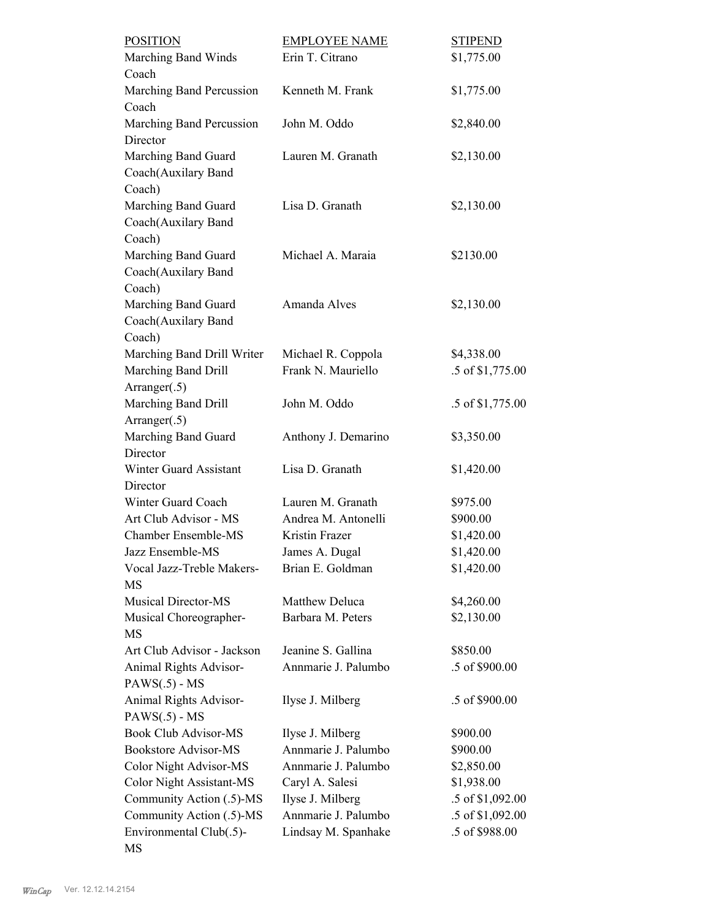| <b>POSITION</b>                                     | <b>EMPLOYEE NAME</b>                       | <b>STIPEND</b>                     |
|-----------------------------------------------------|--------------------------------------------|------------------------------------|
| Marching Band Winds                                 | Erin T. Citrano                            | \$1,775.00                         |
| Coach                                               |                                            |                                    |
| Marching Band Percussion                            | Kenneth M. Frank                           | \$1,775.00                         |
| Coach                                               |                                            |                                    |
| Marching Band Percussion                            | John M. Oddo                               | \$2,840.00                         |
| Director                                            |                                            |                                    |
| Marching Band Guard                                 | Lauren M. Granath                          | \$2,130.00                         |
| Coach(Auxilary Band                                 |                                            |                                    |
| Coach)                                              |                                            |                                    |
| Marching Band Guard                                 | Lisa D. Granath                            | \$2,130.00                         |
| Coach(Auxilary Band                                 |                                            |                                    |
| Coach)                                              |                                            |                                    |
| Marching Band Guard                                 | Michael A. Maraia                          | \$2130.00                          |
| Coach(Auxilary Band                                 |                                            |                                    |
| Coach)                                              |                                            |                                    |
| Marching Band Guard                                 | Amanda Alves                               | \$2,130.00                         |
| Coach(Auxilary Band                                 |                                            |                                    |
| Coach)                                              |                                            |                                    |
| Marching Band Drill Writer                          | Michael R. Coppola                         | \$4,338.00                         |
| Marching Band Drill                                 | Frank N. Mauriello                         | .5 of \$1,775.00                   |
| Arranger(.5)                                        |                                            |                                    |
| Marching Band Drill                                 | John M. Oddo                               | .5 of \$1,775.00                   |
| Arranger(.5)                                        |                                            |                                    |
| Marching Band Guard                                 | Anthony J. Demarino                        | \$3,350.00                         |
| Director                                            |                                            |                                    |
| Winter Guard Assistant                              | Lisa D. Granath                            | \$1,420.00                         |
| Director                                            |                                            |                                    |
| Winter Guard Coach                                  | Lauren M. Granath                          | \$975.00                           |
| Art Club Advisor - MS                               | Andrea M. Antonelli                        | \$900.00                           |
| Chamber Ensemble-MS                                 | Kristin Frazer                             | \$1,420.00                         |
| Jazz Ensemble-MS                                    | James A. Dugal                             | \$1,420.00                         |
| Vocal Jazz-Treble Makers-                           | Brian E. Goldman                           | \$1,420.00                         |
| MS                                                  |                                            |                                    |
| <b>Musical Director-MS</b>                          | Matthew Deluca                             | \$4,260.00                         |
| Musical Choreographer-                              | Barbara M. Peters                          | \$2,130.00                         |
| MS                                                  |                                            |                                    |
| Art Club Advisor - Jackson                          | Jeanine S. Gallina                         | \$850.00                           |
| Animal Rights Advisor-                              | Annmarie J. Palumbo                        | .5 of \$900.00                     |
| $PAWS(.5) - MS$                                     |                                            |                                    |
| Animal Rights Advisor-                              | Ilyse J. Milberg                           | .5 of \$900.00                     |
| $PAWS(.5) - MS$                                     |                                            |                                    |
| <b>Book Club Advisor-MS</b>                         | Ilyse J. Milberg                           | \$900.00                           |
| <b>Bookstore Advisor-MS</b>                         | Annmarie J. Palumbo                        | \$900.00                           |
|                                                     | Annmarie J. Palumbo                        |                                    |
| Color Night Advisor-MS                              |                                            | \$2,850.00                         |
| Color Night Assistant-MS                            | Caryl A. Salesi                            | \$1,938.00                         |
| Community Action (.5)-MS                            |                                            |                                    |
|                                                     | Ilyse J. Milberg                           | .5 of \$1,092.00                   |
| Community Action (.5)-MS<br>Environmental Club(.5)- | Annmarie J. Palumbo<br>Lindsay M. Spanhake | .5 of \$1,092.00<br>.5 of \$988.00 |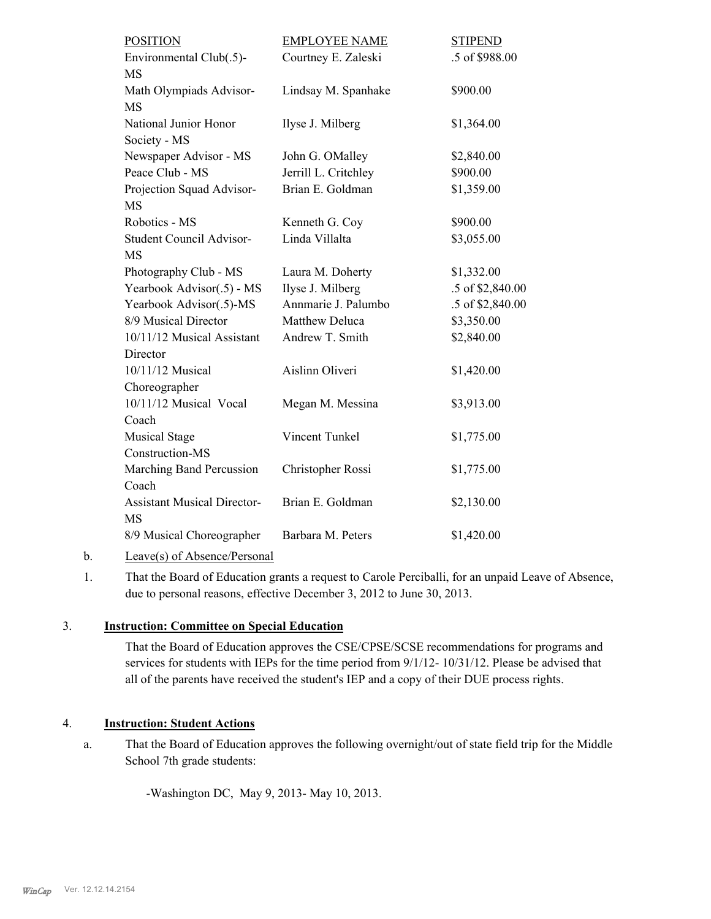| Environmental Club(.5)-<br>Courtney E. Zaleski<br>.5 of \$988.00<br><b>MS</b><br>Math Olympiads Advisor-<br>\$900.00<br>Lindsay M. Spanhake<br><b>MS</b><br>National Junior Honor<br>Ilyse J. Milberg<br>\$1,364.00<br>Society - MS<br>Newspaper Advisor - MS<br>John G. OMalley<br>\$2,840.00<br>Peace Club - MS<br>\$900.00<br>Jerrill L. Critchley<br>Brian E. Goldman<br>Projection Squad Advisor-<br>\$1,359.00<br><b>MS</b><br>Robotics - MS<br>\$900.00<br>Kenneth G. Coy<br>Linda Villalta<br>\$3,055.00<br>Student Council Advisor-<br><b>MS</b><br>Photography Club - MS<br>\$1,332.00<br>Laura M. Doherty<br>Yearbook Advisor(.5) - MS<br>Ilyse J. Milberg<br>.5 of \$2,840.00<br>Yearbook Advisor(.5)-MS<br>Annmarie J. Palumbo<br>.5 of \$2,840.00<br>8/9 Musical Director<br>Matthew Deluca<br>\$3,350.00<br>10/11/12 Musical Assistant<br>Andrew T. Smith<br>\$2,840.00<br>Director<br>Aislinn Oliveri<br>10/11/12 Musical<br>\$1,420.00<br>Choreographer<br>10/11/12 Musical Vocal<br>Megan M. Messina<br>\$3,913.00<br>Coach<br>Vincent Tunkel<br><b>Musical Stage</b><br>\$1,775.00<br>Construction-MS<br>Marching Band Percussion<br>Christopher Rossi<br>\$1,775.00<br>Coach<br><b>Assistant Musical Director-</b><br>Brian E. Goldman<br>\$2,130.00<br><b>MS</b><br>8/9 Musical Choreographer<br>Barbara M. Peters<br>\$1,420.00 | <b>POSITION</b> | <b>EMPLOYEE NAME</b> | <b>STIPEND</b> |
|-------------------------------------------------------------------------------------------------------------------------------------------------------------------------------------------------------------------------------------------------------------------------------------------------------------------------------------------------------------------------------------------------------------------------------------------------------------------------------------------------------------------------------------------------------------------------------------------------------------------------------------------------------------------------------------------------------------------------------------------------------------------------------------------------------------------------------------------------------------------------------------------------------------------------------------------------------------------------------------------------------------------------------------------------------------------------------------------------------------------------------------------------------------------------------------------------------------------------------------------------------------------------------------------------------------------------------------------------------|-----------------|----------------------|----------------|
|                                                                                                                                                                                                                                                                                                                                                                                                                                                                                                                                                                                                                                                                                                                                                                                                                                                                                                                                                                                                                                                                                                                                                                                                                                                                                                                                                       |                 |                      |                |
|                                                                                                                                                                                                                                                                                                                                                                                                                                                                                                                                                                                                                                                                                                                                                                                                                                                                                                                                                                                                                                                                                                                                                                                                                                                                                                                                                       |                 |                      |                |
|                                                                                                                                                                                                                                                                                                                                                                                                                                                                                                                                                                                                                                                                                                                                                                                                                                                                                                                                                                                                                                                                                                                                                                                                                                                                                                                                                       |                 |                      |                |
|                                                                                                                                                                                                                                                                                                                                                                                                                                                                                                                                                                                                                                                                                                                                                                                                                                                                                                                                                                                                                                                                                                                                                                                                                                                                                                                                                       |                 |                      |                |
|                                                                                                                                                                                                                                                                                                                                                                                                                                                                                                                                                                                                                                                                                                                                                                                                                                                                                                                                                                                                                                                                                                                                                                                                                                                                                                                                                       |                 |                      |                |
|                                                                                                                                                                                                                                                                                                                                                                                                                                                                                                                                                                                                                                                                                                                                                                                                                                                                                                                                                                                                                                                                                                                                                                                                                                                                                                                                                       |                 |                      |                |
|                                                                                                                                                                                                                                                                                                                                                                                                                                                                                                                                                                                                                                                                                                                                                                                                                                                                                                                                                                                                                                                                                                                                                                                                                                                                                                                                                       |                 |                      |                |
|                                                                                                                                                                                                                                                                                                                                                                                                                                                                                                                                                                                                                                                                                                                                                                                                                                                                                                                                                                                                                                                                                                                                                                                                                                                                                                                                                       |                 |                      |                |
|                                                                                                                                                                                                                                                                                                                                                                                                                                                                                                                                                                                                                                                                                                                                                                                                                                                                                                                                                                                                                                                                                                                                                                                                                                                                                                                                                       |                 |                      |                |
|                                                                                                                                                                                                                                                                                                                                                                                                                                                                                                                                                                                                                                                                                                                                                                                                                                                                                                                                                                                                                                                                                                                                                                                                                                                                                                                                                       |                 |                      |                |
|                                                                                                                                                                                                                                                                                                                                                                                                                                                                                                                                                                                                                                                                                                                                                                                                                                                                                                                                                                                                                                                                                                                                                                                                                                                                                                                                                       |                 |                      |                |
|                                                                                                                                                                                                                                                                                                                                                                                                                                                                                                                                                                                                                                                                                                                                                                                                                                                                                                                                                                                                                                                                                                                                                                                                                                                                                                                                                       |                 |                      |                |
|                                                                                                                                                                                                                                                                                                                                                                                                                                                                                                                                                                                                                                                                                                                                                                                                                                                                                                                                                                                                                                                                                                                                                                                                                                                                                                                                                       |                 |                      |                |
|                                                                                                                                                                                                                                                                                                                                                                                                                                                                                                                                                                                                                                                                                                                                                                                                                                                                                                                                                                                                                                                                                                                                                                                                                                                                                                                                                       |                 |                      |                |
|                                                                                                                                                                                                                                                                                                                                                                                                                                                                                                                                                                                                                                                                                                                                                                                                                                                                                                                                                                                                                                                                                                                                                                                                                                                                                                                                                       |                 |                      |                |
|                                                                                                                                                                                                                                                                                                                                                                                                                                                                                                                                                                                                                                                                                                                                                                                                                                                                                                                                                                                                                                                                                                                                                                                                                                                                                                                                                       |                 |                      |                |
|                                                                                                                                                                                                                                                                                                                                                                                                                                                                                                                                                                                                                                                                                                                                                                                                                                                                                                                                                                                                                                                                                                                                                                                                                                                                                                                                                       |                 |                      |                |
|                                                                                                                                                                                                                                                                                                                                                                                                                                                                                                                                                                                                                                                                                                                                                                                                                                                                                                                                                                                                                                                                                                                                                                                                                                                                                                                                                       |                 |                      |                |
|                                                                                                                                                                                                                                                                                                                                                                                                                                                                                                                                                                                                                                                                                                                                                                                                                                                                                                                                                                                                                                                                                                                                                                                                                                                                                                                                                       |                 |                      |                |
|                                                                                                                                                                                                                                                                                                                                                                                                                                                                                                                                                                                                                                                                                                                                                                                                                                                                                                                                                                                                                                                                                                                                                                                                                                                                                                                                                       |                 |                      |                |
|                                                                                                                                                                                                                                                                                                                                                                                                                                                                                                                                                                                                                                                                                                                                                                                                                                                                                                                                                                                                                                                                                                                                                                                                                                                                                                                                                       |                 |                      |                |
|                                                                                                                                                                                                                                                                                                                                                                                                                                                                                                                                                                                                                                                                                                                                                                                                                                                                                                                                                                                                                                                                                                                                                                                                                                                                                                                                                       |                 |                      |                |
|                                                                                                                                                                                                                                                                                                                                                                                                                                                                                                                                                                                                                                                                                                                                                                                                                                                                                                                                                                                                                                                                                                                                                                                                                                                                                                                                                       |                 |                      |                |
|                                                                                                                                                                                                                                                                                                                                                                                                                                                                                                                                                                                                                                                                                                                                                                                                                                                                                                                                                                                                                                                                                                                                                                                                                                                                                                                                                       |                 |                      |                |
|                                                                                                                                                                                                                                                                                                                                                                                                                                                                                                                                                                                                                                                                                                                                                                                                                                                                                                                                                                                                                                                                                                                                                                                                                                                                                                                                                       |                 |                      |                |
|                                                                                                                                                                                                                                                                                                                                                                                                                                                                                                                                                                                                                                                                                                                                                                                                                                                                                                                                                                                                                                                                                                                                                                                                                                                                                                                                                       |                 |                      |                |
|                                                                                                                                                                                                                                                                                                                                                                                                                                                                                                                                                                                                                                                                                                                                                                                                                                                                                                                                                                                                                                                                                                                                                                                                                                                                                                                                                       |                 |                      |                |
|                                                                                                                                                                                                                                                                                                                                                                                                                                                                                                                                                                                                                                                                                                                                                                                                                                                                                                                                                                                                                                                                                                                                                                                                                                                                                                                                                       |                 |                      |                |
|                                                                                                                                                                                                                                                                                                                                                                                                                                                                                                                                                                                                                                                                                                                                                                                                                                                                                                                                                                                                                                                                                                                                                                                                                                                                                                                                                       |                 |                      |                |
|                                                                                                                                                                                                                                                                                                                                                                                                                                                                                                                                                                                                                                                                                                                                                                                                                                                                                                                                                                                                                                                                                                                                                                                                                                                                                                                                                       |                 |                      |                |

b. Leave(s) of Absence/Personal

That the Board of Education grants a request to Carole Perciballi, for an unpaid Leave of Absence, due to personal reasons, effective December 3, 2012 to June 30, 2013. 1.

# 3. **Instruction: Committee on Special Education**

That the Board of Education approves the CSE/CPSE/SCSE recommendations for programs and services for students with IEPs for the time period from 9/1/12- 10/31/12. Please be advised that all of the parents have received the student's IEP and a copy of their DUE process rights.

## 4. **Instruction: Student Actions**

That the Board of Education approves the following overnight/out of state field trip for the Middle School 7th grade students: a.

-Washington DC, May 9, 2013- May 10, 2013.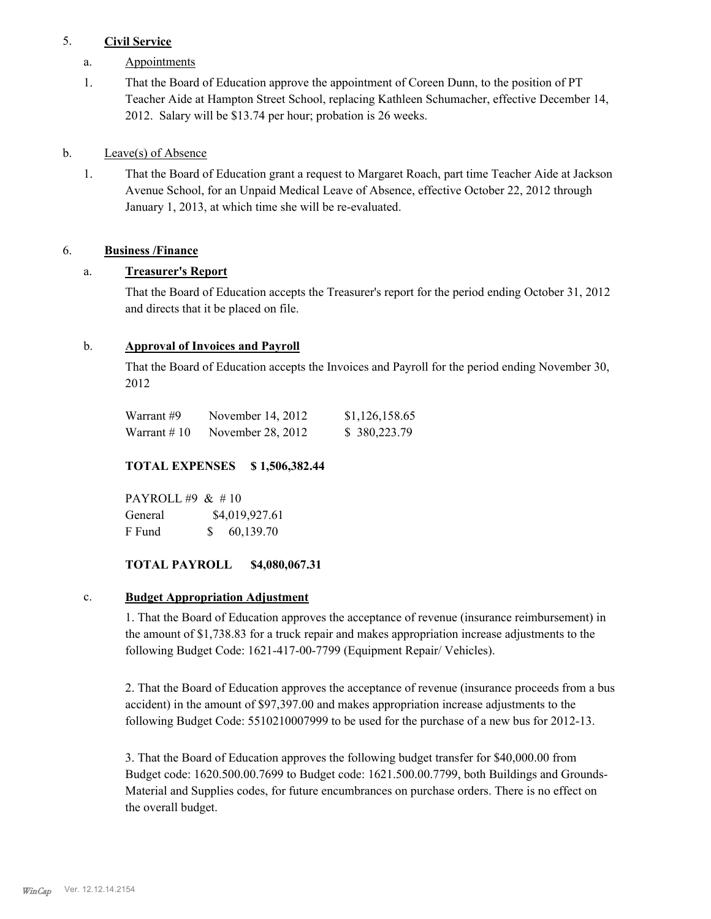# 5. **Civil Service**

- a. Appointments
- That the Board of Education approve the appointment of Coreen Dunn, to the position of PT Teacher Aide at Hampton Street School, replacing Kathleen Schumacher, effective December 14, 2012. Salary will be \$13.74 per hour; probation is 26 weeks. 1.

## b. Leave(s) of Absence

That the Board of Education grant a request to Margaret Roach, part time Teacher Aide at Jackson Avenue School, for an Unpaid Medical Leave of Absence, effective October 22, 2012 through January 1, 2013, at which time she will be re-evaluated. 1.

# 6. **Business /Finance**

# a. **Treasurer's Report**

That the Board of Education accepts the Treasurer's report for the period ending October 31, 2012 and directs that it be placed on file.

# b. **Approval of Invoices and Payroll**

That the Board of Education accepts the Invoices and Payroll for the period ending November 30, 2012

| Warrant #9   | November 14, 2012 | \$1,126,158.65 |
|--------------|-------------------|----------------|
| Warrant # 10 | November 28, 2012 | \$380,223.79   |

# **TOTAL EXPENSES \$ 1,506,382.44**

PAYROLL #9 & # 10 General  $$4,019,927.61$ F Fund \$ 60,139.70

# **TOTAL PAYROLL \$4,080,067.31**

## c. **Budget Appropriation Adjustment**

1. That the Board of Education approves the acceptance of revenue (insurance reimbursement) in the amount of \$1,738.83 for a truck repair and makes appropriation increase adjustments to the following Budget Code: 1621-417-00-7799 (Equipment Repair/ Vehicles).

2. That the Board of Education approves the acceptance of revenue (insurance proceeds from a bus accident) in the amount of \$97,397.00 and makes appropriation increase adjustments to the following Budget Code: 5510210007999 to be used for the purchase of a new bus for 2012-13.

3. That the Board of Education approves the following budget transfer for \$40,000.00 from Budget code: 1620.500.00.7699 to Budget code: 1621.500.00.7799, both Buildings and Grounds-Material and Supplies codes, for future encumbrances on purchase orders. There is no effect on the overall budget.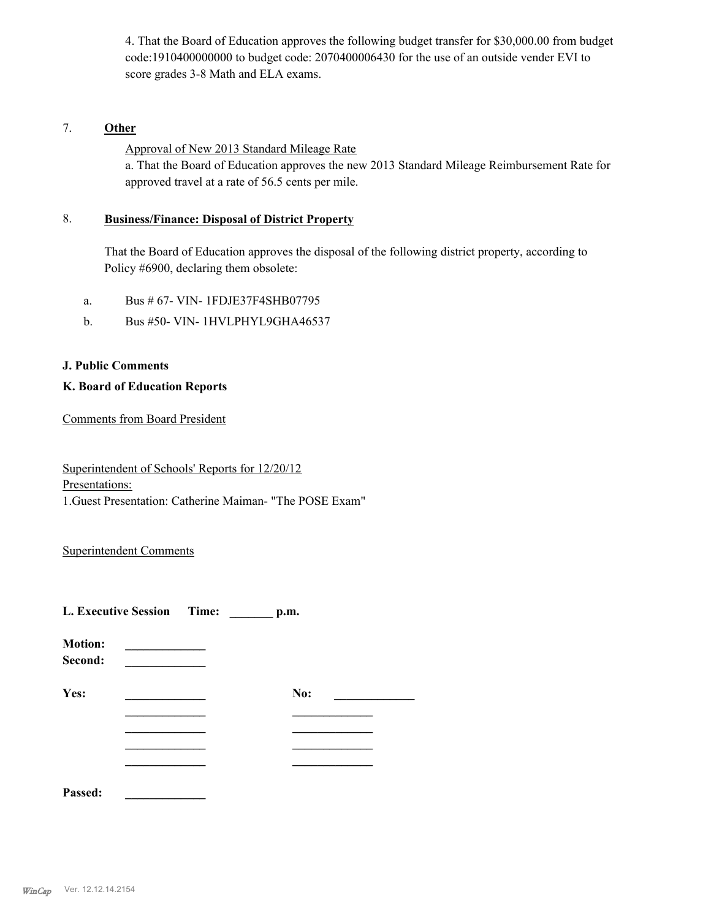4. That the Board of Education approves the following budget transfer for \$30,000.00 from budget code:1910400000000 to budget code: 2070400006430 for the use of an outside vender EVI to score grades 3-8 Math and ELA exams.

# 7. **Other**

Approval of New 2013 Standard Mileage Rate

a. That the Board of Education approves the new 2013 Standard Mileage Reimbursement Rate for approved travel at a rate of 56.5 cents per mile.

#### **Business/Finance: Disposal of District Property** 8.

That the Board of Education approves the disposal of the following district property, according to Policy #6900, declaring them obsolete:

- a. Bus # 67- VIN- 1FDJE37F4SHB07795
- b. Bus #50- VIN- 1HVLPHYL9GHA46537

#### **J. Public Comments**

#### **K. Board of Education Reports**

Comments from Board President

Superintendent of Schools' Reports for 12/20/12 Presentations: 1.Guest Presentation: Catherine Maiman- "The POSE Exam"

## Superintendent Comments

| L. Executive Session Time: |  | p.m. |  |
|----------------------------|--|------|--|
| <b>Motion:</b><br>Second:  |  |      |  |
| Yes:                       |  | No:  |  |
|                            |  |      |  |
|                            |  |      |  |
|                            |  |      |  |
|                            |  |      |  |

**Passed: \_\_\_\_\_\_\_\_\_\_\_\_\_**